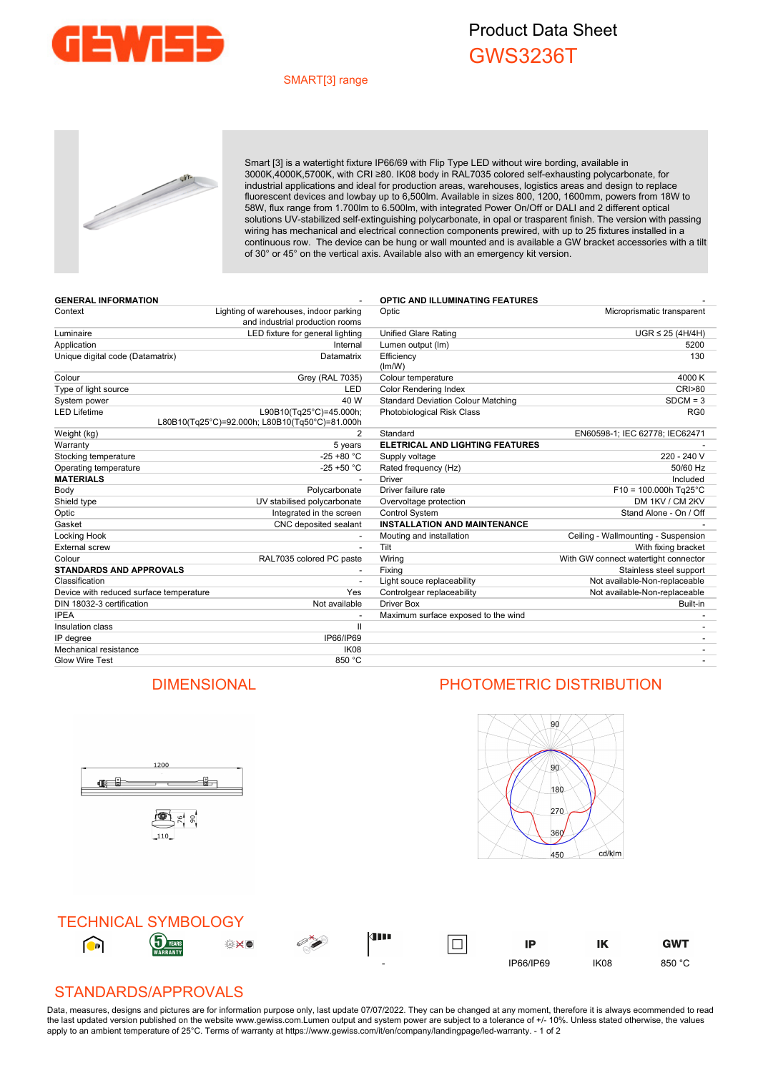

## Product Data Sheet GWS3236T

## SMART[3] range



Smart [3] is a watertight fixture IP66/69 with Flip Type LED without wire bording, available in 3000K,4000K,5700K, with CRI ≥80. IK08 body in RAL7035 colored self-exhausting polycarbonate, for industrial applications and ideal for production areas, warehouses, logistics areas and design to replace fluorescent devices and lowbay up to 6,500lm. Available in sizes 800, 1200, 1600mm, powers from 18W to 58W, flux range from 1.700lm to 6.500lm, with integrated Power On/Off or DALI and 2 different optical solutions UV-stabilized self-extinguishing polycarbonate, in opal or trasparent finish. The version with passing wiring has mechanical and electrical connection components prewired, with up to 25 fixtures installed in a continuous row. The device can be hung or wall mounted and is available a GW bracket accessories with a tilt of 30° or 45° on the vertical axis. Available also with an emergency kit version.

| <b>GENERAL INFORMATION</b>              |                                                                           | <b>OPTIC AND ILLUMINATING FEATURES</b>    |                                      |
|-----------------------------------------|---------------------------------------------------------------------------|-------------------------------------------|--------------------------------------|
| Context                                 | Lighting of warehouses, indoor parking<br>and industrial production rooms | Optic                                     | Microprismatic transparent           |
| Luminaire                               | LED fixture for general lighting                                          | <b>Unified Glare Rating</b>               | $UGR \leq 25$ (4H/4H)                |
| Application                             | Internal                                                                  | Lumen output (Im)                         | 5200                                 |
| Unique digital code (Datamatrix)        | Datamatrix                                                                | Efficiency<br>(lm/W)                      | 130                                  |
| Colour                                  | Grey (RAL 7035)                                                           | Colour temperature                        | 4000 K                               |
| Type of light source                    | LED                                                                       | <b>Color Rendering Index</b>              | <b>CRI&gt;80</b>                     |
| System power                            | 40 W                                                                      | <b>Standard Deviation Colour Matching</b> | $SDCM = 3$                           |
| <b>LED Lifetime</b>                     | L90B10(Tg25°C)=45.000h;<br>L80B10(Tq25°C)=92.000h; L80B10(Tq50°C)=81.000h | Photobiological Risk Class                | RG <sub>0</sub>                      |
| Weight (kg)                             | 2                                                                         | Standard                                  | EN60598-1; IEC 62778; IEC62471       |
| Warranty                                | 5 years                                                                   | <b>ELETRICAL AND LIGHTING FEATURES</b>    |                                      |
| Stocking temperature                    | $-25 + 80 °C$                                                             | Supply voltage                            | 220 - 240 V                          |
| Operating temperature                   | $-25 + 50$ °C                                                             | Rated frequency (Hz)                      | 50/60 Hz                             |
| <b>MATERIALS</b>                        |                                                                           | Driver                                    | Included                             |
| Body                                    | Polycarbonate                                                             | Driver failure rate                       | $F10 = 100.000h$ Tg25°C              |
| Shield type                             | UV stabilised polycarbonate                                               | Overvoltage protection                    | DM 1KV / CM 2KV                      |
| Optic                                   | Integrated in the screen                                                  | Control System                            | Stand Alone - On / Off               |
| Gasket                                  | CNC deposited sealant                                                     | <b>INSTALLATION AND MAINTENANCE</b>       |                                      |
| Locking Hook                            |                                                                           | Mouting and installation                  | Ceiling - Wallmounting - Suspension  |
| <b>External screw</b>                   | $\overline{\phantom{a}}$                                                  | Tilt                                      | With fixing bracket                  |
| Colour                                  | RAL7035 colored PC paste                                                  | Wiring                                    | With GW connect watertight connector |
| <b>STANDARDS AND APPROVALS</b>          |                                                                           | Fixing                                    | Stainless steel support              |
| Classification                          |                                                                           | Light souce replaceability                | Not available-Non-replaceable        |
| Device with reduced surface temperature | Yes                                                                       | Controlgear replaceability                | Not available-Non-replaceable        |
| DIN 18032-3 certification               | Not available                                                             | <b>Driver Box</b>                         | Built-in                             |
| <b>IPEA</b>                             |                                                                           | Maximum surface exposed to the wind       |                                      |
| Insulation class                        | $\mathbf{I}$                                                              |                                           |                                      |
| IP degree                               | IP66/IP69                                                                 |                                           |                                      |
| Mechanical resistance                   | IK08                                                                      |                                           |                                      |
| <b>Glow Wire Test</b>                   | 850 °C                                                                    |                                           |                                      |

## DIMENSIONAL PHOTOMETRIC DISTRIBUTION

ů.



TECHNICAL SYMBOLOGY kini G  $\bigodot$  $\overline{\Box}$ ۲ IP IK **GWT** - IP66/IP69 IK08 850 °C

## STANDARDS/APPROVALS

1200

雪片。

110

<u>ge j</u>

Data, measures, designs and pictures are for information purpose only, last update 07/07/2022. They can be changed at any moment, therefore it is always ecommended to read the last updated version published on the website www.gewiss.com.Lumen output and system power are subject to a tolerance of +/-10%. Unless stated otherwise, the values apply to an ambient temperature of 25°C. Terms of warranty at https://www.gewiss.com/it/en/company/landingpage/led-warranty. - 1 of 2